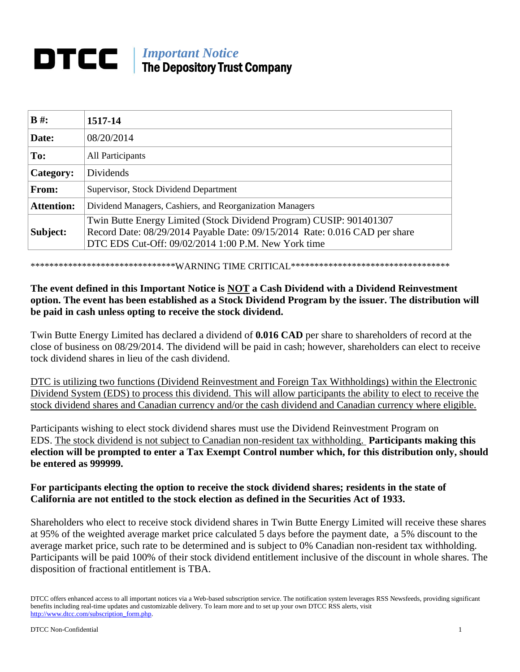# *Important Notice* The Depository Trust Company

| $B \#$ :          | 1517-14                                                                                                                                                                                                  |
|-------------------|----------------------------------------------------------------------------------------------------------------------------------------------------------------------------------------------------------|
| Date:             | 08/20/2014                                                                                                                                                                                               |
| To:               | All Participants                                                                                                                                                                                         |
| Category:         | Dividends                                                                                                                                                                                                |
| From:             | Supervisor, Stock Dividend Department                                                                                                                                                                    |
| <b>Attention:</b> | Dividend Managers, Cashiers, and Reorganization Managers                                                                                                                                                 |
| Subject:          | Twin Butte Energy Limited (Stock Dividend Program) CUSIP: 901401307<br>Record Date: 08/29/2014 Payable Date: 09/15/2014 Rate: 0.016 CAD per share<br>DTC EDS Cut-Off: 09/02/2014 1:00 P.M. New York time |

\*\*\*\*\*\*\*\*\*\*\*\*\*\*\*\*\*\*\*\*\*\*\*\*\*\*\*\*\*\*\*WARNING TIME CRITICAL\*\*\*\*\*\*\*\*\*\*\*\*\*\*\*\*\*\*\*\*\*\*\*\*\*\*\*\*\*\*\*\*\*\*

## **The event defined in this Important Notice is NOT a Cash Dividend with a Dividend Reinvestment option. The event has been established as a Stock Dividend Program by the issuer. The distribution will be paid in cash unless opting to receive the stock dividend.**

Twin Butte Energy Limited has declared a dividend of **0.016 CAD** per share to shareholders of record at the close of business on 08/29/2014. The dividend will be paid in cash; however, shareholders can elect to receive tock dividend shares in lieu of the cash dividend.

DTC is utilizing two functions (Dividend Reinvestment and Foreign Tax Withholdings) within the Electronic Dividend System (EDS) to process this dividend. This will allow participants the ability to elect to receive the stock dividend shares and Canadian currency and/or the cash dividend and Canadian currency where eligible.

Participants wishing to elect stock dividend shares must use the Dividend Reinvestment Program on EDS. The stock dividend is not subject to Canadian non-resident tax withholding. **Participants making this election will be prompted to enter a Tax Exempt Control number which, for this distribution only, should be entered as 999999.**

## **For participants electing the option to receive the stock dividend shares; residents in the state of California are not entitled to the stock election as defined in the Securities Act of 1933.**

Shareholders who elect to receive stock dividend shares in Twin Butte Energy Limited will receive these shares at 95% of the weighted average market price calculated 5 days before the payment date, a 5% discount to the average market price, such rate to be determined and is subject to 0% Canadian non-resident tax withholding. Participants will be paid 100% of their stock dividend entitlement inclusive of the discount in whole shares. The disposition of fractional entitlement is TBA.

DTCC offers enhanced access to all important notices via a Web-based subscription service. The notification system leverages RSS Newsfeeds, providing significant benefits including real-time updates and customizable delivery. To learn more and to set up your own DTCC RSS alerts, visit http://www.dtcc.com/subscription\_form.php.